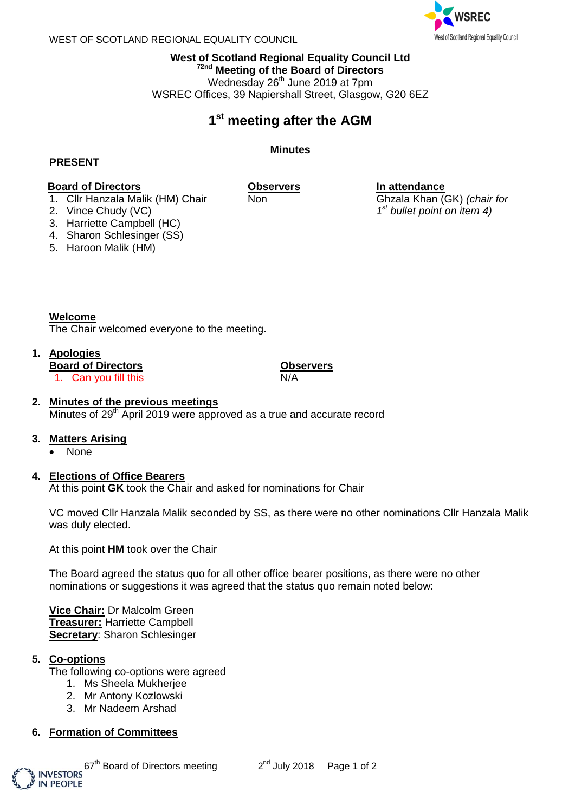

**In attendance**

Ghzala Khan (GK) *(chair for 1 st bullet point on item 4)*

**West of Scotland Regional Equality Council Ltd 72nd Meeting of the Board of Directors** Wednesday 26<sup>th</sup> June 2019 at 7pm WSREC Offices, 39 Napiershall Street, Glasgow, G20 6EZ

# **1 st meeting after the AGM**

**Minutes**

### **PRESENT**

#### **Board of Directors** 1. Cllr Hanzala Malik (HM) Chair

**Observers**

Non

- 2. Vince Chudy (VC)
- 3. Harriette Campbell (HC)
- 4. Sharon Schlesinger (SS)
- 5. Haroon Malik (HM)

**Welcome** The Chair welcomed everyone to the meeting.

## **1. Apologies**

**Board of Directors**

1. Can you fill this

**Observers** N/A

### **2. Minutes of the previous meetings**

Minutes of 29<sup>th</sup> April 2019 were approved as a true and accurate record

#### **3. Matters Arising**

None

#### **4. Elections of Office Bearers**

At this point **GK** took the Chair and asked for nominations for Chair

VC moved Cllr Hanzala Malik seconded by SS, as there were no other nominations Cllr Hanzala Malik was duly elected.

At this point **HM** took over the Chair

The Board agreed the status quo for all other office bearer positions, as there were no other nominations or suggestions it was agreed that the status quo remain noted below:

**Vice Chair:** Dr Malcolm Green **Treasurer:** Harriette Campbell **Secretary**: Sharon Schlesinger

#### **5. Co-options**

The following co-options were agreed

- 1. Ms Sheela Mukherjee
- 2. Mr Antony Kozlowski
- 3. Mr Nadeem Arshad
- **6. Formation of Committees**